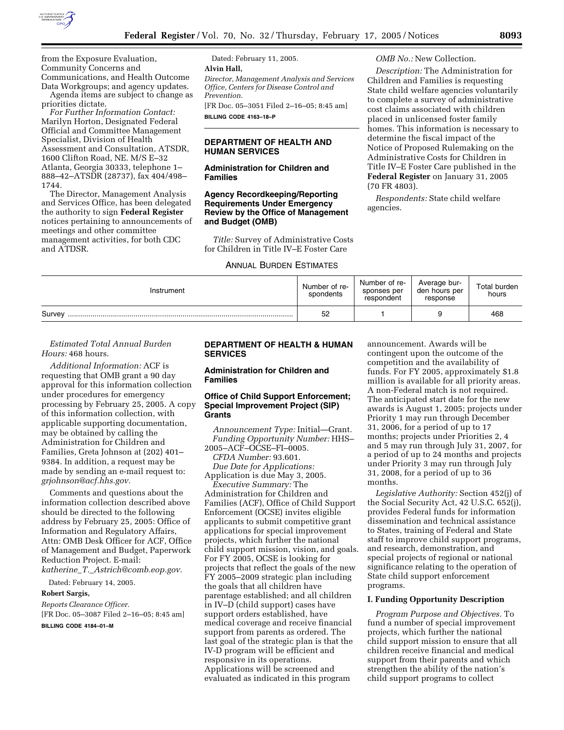

from the Exposure Evaluation, Community Concerns and Communications, and Health Outcome

Data Workgroups; and agency updates. Agenda items are subject to change as priorities dictate.

*For Further Information Contact:* Marilyn Horton, Designated Federal Official and Committee Management Specialist, Division of Health Assessment and Consultation, ATSDR, 1600 Clifton Road, NE. M/S E–32 Atlanta, Georgia 30333, telephone 1– 888–42–ATSDR (28737), fax 404/498– 1744.

The Director, Management Analysis and Services Office, has been delegated the authority to sign **Federal Register** notices pertaining to announcements of meetings and other committee management activities, for both CDC and ATDSR.

Dated: February 11, 2005. **Alvin Hall,** 

*Director, Management Analysis and Services Office, Centers for Disease Control and Prevention.*

[FR Doc. 05–3051 Filed 2–16–05; 8:45 am] **BILLING CODE 4163–18–P**

# **DEPARTMENT OF HEALTH AND HUMAN SERVICES**

## **Administration for Children and Families**

# **Agency Recordkeeping/Reporting Requirements Under Emergency Review by the Office of Management and Budget (OMB)**

*Title:* Survey of Administrative Costs for Children in Title IV–E Foster Care

## ANNUAL BURDEN ESTIMATES

*OMB No.:* New Collection.

*Description:* The Administration for Children and Families is requesting State child welfare agencies voluntarily to complete a survey of administrative cost claims associated with children placed in unlicensed foster family homes. This information is necessary to determine the fiscal impact of the Notice of Proposed Rulemaking on the Administrative Costs for Children in Title IV–E Foster Care published in the **Federal Register** on January 31, 2005 (70 FR 4803).

*Respondents:* State child welfare agencies.

| Instrument | Number of re-<br>spondents | Number of re-<br>sponses per<br>respondent | Average bur-<br>den hours per<br>response | Total burden<br>hours |
|------------|----------------------------|--------------------------------------------|-------------------------------------------|-----------------------|
| Survey     | 52                         |                                            |                                           | 468                   |

# *Estimated Total Annual Burden Hours:* 468 hours.

*Additional Information:* ACF is requesting that OMB grant a 90 day approval for this information collection under procedures for emergency processing by February 25, 2005. A copy of this information collection, with applicable supporting documentation, may be obtained by calling the Administration for Children and Families, Greta Johnson at (202) 401– 9384. In addition, a request may be made by sending an e-mail request to: *grjohnson@acf.hhs.gov.*

Comments and questions about the information collection described above should be directed to the following address by February 25, 2005: Office of Information and Regulatory Affairs, Attn: OMB Desk Officer for ACF, Office of Management and Budget, Paperwork Reduction Project. E-mail: *katherine*\_*T.*\_*Astrich@comb.eop.gov.*

Dated: February 14, 2005.

## **Robert Sargis,**

*Reports Clearance Officer.* [FR Doc. 05–3087 Filed 2–16–05; 8:45 am] **BILLING CODE 4184–01–M**

## **DEPARTMENT OF HEALTH & HUMAN SERVICES**

**Administration for Children and Families** 

# **Office of Child Support Enforcement; Special Improvement Project (SIP) Grants**

*Announcement Type:* Initial—Grant. *Funding Opportunity Number:* HHS– 2005–ACF–OCSE–FI–0005.

*CFDA Number:* 93.601. *Due Date for Applications:* Application is due May 3, 2005.

*Executive Summary:* The Administration for Children and Families (ACF), Office of Child Support Enforcement (OCSE) invites eligible applicants to submit competitive grant applications for special improvement projects, which further the national child support mission, vision, and goals. For FY 2005, OCSE is looking for projects that reflect the goals of the new FY 2005–2009 strategic plan including the goals that all children have parentage established; and all children in IV–D (child support) cases have support orders established, have medical coverage and receive financial support from parents as ordered. The last goal of the strategic plan is that the IV-D program will be efficient and responsive in its operations. Applications will be screened and evaluated as indicated in this program

announcement. Awards will be contingent upon the outcome of the competition and the availability of funds. For FY 2005, approximately \$1.8 million is available for all priority areas. A non-Federal match is not required. The anticipated start date for the new awards is August 1, 2005; projects under Priority 1 may run through December 31, 2006, for a period of up to 17 months; projects under Priorities 2, 4 and 5 may run through July 31, 2007, for a period of up to 24 months and projects under Priority 3 may run through July 31, 2008, for a period of up to 36 months.

*Legislative Authority:* Section 452(j) of the Social Security Act, 42 U.S.C. 652(j), provides Federal funds for information dissemination and technical assistance to States, training of Federal and State staff to improve child support programs, and research, demonstration, and special projects of regional or national significance relating to the operation of State child support enforcement programs.

## **I. Funding Opportunity Description**

*Program Purpose and Objectives.* To fund a number of special improvement projects, which further the national child support mission to ensure that all children receive financial and medical support from their parents and which strengthen the ability of the nation's child support programs to collect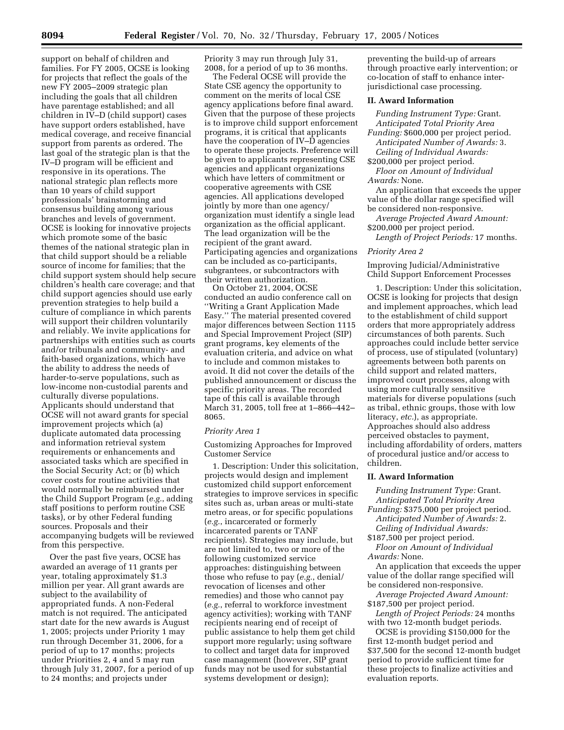support on behalf of children and families. For FY 2005, OCSE is looking for projects that reflect the goals of the new FY 2005–2009 strategic plan including the goals that all children have parentage established; and all children in IV–D (child support) cases have support orders established, have medical coverage, and receive financial support from parents as ordered. The last goal of the strategic plan is that the IV–D program will be efficient and responsive in its operations. The national strategic plan reflects more than 10 years of child support professionals' brainstorming and consensus building among various branches and levels of government. OCSE is looking for innovative projects which promote some of the basic themes of the national strategic plan in that child support should be a reliable source of income for families; that the child support system should help secure children's health care coverage; and that child support agencies should use early prevention strategies to help build a culture of compliance in which parents will support their children voluntarily and reliably. We invite applications for partnerships with entities such as courts and/or tribunals and community- and faith-based organizations, which have the ability to address the needs of harder-to-serve populations, such as low-income non-custodial parents and culturally diverse populations. Applicants should understand that OCSE will not award grants for special improvement projects which (a) duplicate automated data processing and information retrieval system requirements or enhancements and associated tasks which are specified in the Social Security Act; or (b) which cover costs for routine activities that would normally be reimbursed under the Child Support Program (*e.g.*, adding staff positions to perform routine CSE tasks), or by other Federal funding sources. Proposals and their accompanying budgets will be reviewed from this perspective.

Over the past five years, OCSE has awarded an average of 11 grants per year, totaling approximately \$1.3 million per year. All grant awards are subject to the availability of appropriated funds. A non-Federal match is not required. The anticipated start date for the new awards is August 1, 2005; projects under Priority 1 may run through December 31, 2006, for a period of up to 17 months; projects under Priorities 2, 4 and 5 may run through July 31, 2007, for a period of up to 24 months; and projects under

Priority 3 may run through July 31, 2008, for a period of up to 36 months.

The Federal OCSE will provide the State CSE agency the opportunity to comment on the merits of local CSE agency applications before final award. Given that the purpose of these projects is to improve child support enforcement programs, it is critical that applicants have the cooperation of IV–D agencies to operate these projects. Preference will be given to applicants representing CSE agencies and applicant organizations which have letters of commitment or cooperative agreements with CSE agencies. All applications developed jointly by more than one agency/ organization must identify a single lead organization as the official applicant. The lead organization will be the recipient of the grant award. Participating agencies and organizations can be included as co-participants, subgrantees, or subcontractors with their written authorization.

On October 21, 2004, OCSE conducted an audio conference call on ''Writing a Grant Application Made Easy.'' The material presented covered major differences between Section 1115 and Special Improvement Project (SIP) grant programs, key elements of the evaluation criteria, and advice on what to include and common mistakes to avoid. It did not cover the details of the published announcement or discuss the specific priority areas. The recorded tape of this call is available through March 31, 2005, toll free at 1–866–442– 8065.

## *Priority Area 1*

Customizing Approaches for Improved Customer Service

1. Description: Under this solicitation, projects would design and implement customized child support enforcement strategies to improve services in specific sites such as, urban areas or multi-state metro areas, or for specific populations (*e.g.*, incarcerated or formerly incarcerated parents or TANF recipients). Strategies may include, but are not limited to, two or more of the following customized service approaches: distinguishing between those who refuse to pay (*e.g.*, denial/ revocation of licenses and other remedies) and those who cannot pay (*e.g.*, referral to workforce investment agency activities); working with TANF recipients nearing end of receipt of public assistance to help them get child support more regularly; using software to collect and target data for improved case management (however, SIP grant funds may not be used for substantial systems development or design);

preventing the build-up of arrears through proactive early intervention; or co-location of staff to enhance interjurisdictional case processing.

## **II. Award Information**

*Funding Instrument Type:* Grant. *Anticipated Total Priority Area Funding:* \$600,000 per project period. *Anticipated Number of Awards:* 3.

*Ceiling of Individual Awards:* \$200,000 per project period.

*Floor on Amount of Individual Awards:* None.

An application that exceeds the upper value of the dollar range specified will be considered non-responsive.

*Average Projected Award Amount:* \$200,000 per project period.

*Length of Project Periods:* 17 months.

# *Priority Area 2*

Improving Judicial/Administrative Child Support Enforcement Processes

1. Description: Under this solicitation, OCSE is looking for projects that design and implement approaches, which lead to the establishment of child support orders that more appropriately address circumstances of both parents. Such approaches could include better service of process, use of stipulated (voluntary) agreements between both parents on child support and related matters, improved court processes, along with using more culturally sensitive materials for diverse populations (such as tribal, ethnic groups, those with low literacy, *etc.*), as appropriate. Approaches should also address perceived obstacles to payment, including affordability of orders, matters of procedural justice and/or access to children.

## **II. Award Information**

*Funding Instrument Type:* Grant. *Anticipated Total Priority Area* 

*Funding:* \$375,000 per project period. *Anticipated Number of Awards:* 2. *Ceiling of Individual Awards:*

\$187,500 per project period. *Floor on Amount of Individual Awards:* None.

An application that exceeds the upper value of the dollar range specified will be considered non-responsive.

*Average Projected Award Amount:* \$187,500 per project period.

*Length of Project Periods:* 24 months with two 12-month budget periods.

OCSE is providing \$150,000 for the first 12-month budget period and \$37,500 for the second 12-month budget period to provide sufficient time for these projects to finalize activities and evaluation reports.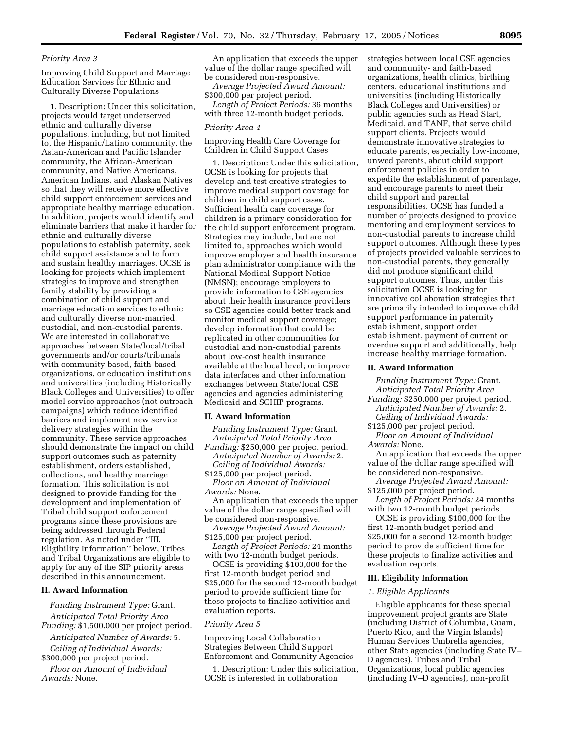## *Priority Area 3*

Improving Child Support and Marriage Education Services for Ethnic and Culturally Diverse Populations

1. Description: Under this solicitation, projects would target underserved ethnic and culturally diverse populations, including, but not limited to, the Hispanic/Latino community, the Asian-American and Pacific Islander community, the African-American community, and Native Americans, American Indians, and Alaskan Natives so that they will receive more effective child support enforcement services and appropriate healthy marriage education. In addition, projects would identify and eliminate barriers that make it harder for ethnic and culturally diverse populations to establish paternity, seek child support assistance and to form and sustain healthy marriages. OCSE is looking for projects which implement strategies to improve and strengthen family stability by providing a combination of child support and marriage education services to ethnic and culturally diverse non-married, custodial, and non-custodial parents. We are interested in collaborative approaches between State/local/tribal governments and/or courts/tribunals with community-based, faith-based organizations, or education institutions and universities (including Historically Black Colleges and Universities) to offer model service approaches (not outreach campaigns) which reduce identified barriers and implement new service delivery strategies within the community. These service approaches should demonstrate the impact on child support outcomes such as paternity establishment, orders established, collections, and healthy marriage formation. This solicitation is not designed to provide funding for the development and implementation of Tribal child support enforcement programs since these provisions are being addressed through Federal regulation. As noted under ''III. Eligibility Information'' below, Tribes and Tribal Organizations are eligible to apply for any of the SIP priority areas described in this announcement.

# **II. Award Information**

*Funding Instrument Type:* Grant. *Anticipated Total Priority Area Funding:* \$1,500,000 per project period. *Anticipated Number of Awards:* 5.

*Ceiling of Individual Awards:* \$300,000 per project period.

*Floor on Amount of Individual Awards:* None.

An application that exceeds the upper value of the dollar range specified will be considered non-responsive.

*Average Projected Award Amount:* \$300,000 per project period.

*Length of Project Periods:* 36 months with three 12-month budget periods.

#### *Priority Area 4*

Improving Health Care Coverage for Children in Child Support Cases

1. Description: Under this solicitation, OCSE is looking for projects that develop and test creative strategies to improve medical support coverage for children in child support cases. Sufficient health care coverage for children is a primary consideration for the child support enforcement program. Strategies may include, but are not limited to, approaches which would improve employer and health insurance plan administrator compliance with the National Medical Support Notice (NMSN); encourage employers to provide information to CSE agencies about their health insurance providers so CSE agencies could better track and monitor medical support coverage; develop information that could be replicated in other communities for custodial and non-custodial parents about low-cost health insurance available at the local level; or improve data interfaces and other information exchanges between State/local CSE agencies and agencies administering Medicaid and SCHIP programs.

## **II. Award Information**

*Funding Instrument Type:* Grant. *Anticipated Total Priority Area* 

*Funding:* \$250,000 per project period. *Anticipated Number of Awards:* 2. *Ceiling of Individual Awards:*

\$125,000 per project period. *Floor on Amount of Individual Awards:* None.

An application that exceeds the upper value of the dollar range specified will be considered non-responsive.

*Average Projected Award Amount:* \$125,000 per project period.

*Length of Project Periods:* 24 months with two 12-month budget periods.

OCSE is providing \$100,000 for the first 12-month budget period and \$25,000 for the second 12-month budget period to provide sufficient time for these projects to finalize activities and evaluation reports.

#### *Priority Area 5*

Improving Local Collaboration Strategies Between Child Support Enforcement and Community Agencies

1. Description: Under this solicitation, OCSE is interested in collaboration

strategies between local CSE agencies and community- and faith-based organizations, health clinics, birthing centers, educational institutions and universities (including Historically Black Colleges and Universities) or public agencies such as Head Start, Medicaid, and TANF, that serve child support clients. Projects would demonstrate innovative strategies to educate parents, especially low-income, unwed parents, about child support enforcement policies in order to expedite the establishment of parentage, and encourage parents to meet their child support and parental responsibilities. OCSE has funded a number of projects designed to provide mentoring and employment services to non-custodial parents to increase child support outcomes. Although these types of projects provided valuable services to non-custodial parents, they generally did not produce significant child support outcomes. Thus, under this solicitation OCSE is looking for innovative collaboration strategies that are primarily intended to improve child support performance in paternity establishment, support order establishment, payment of current or overdue support and additionally, help increase healthy marriage formation.

## **II. Award Information**

*Funding Instrument Type:* Grant. *Anticipated Total Priority Area* 

*Funding:* \$250,000 per project period. *Anticipated Number of Awards:* 2. *Ceiling of Individual Awards:*

\$125,000 per project period.

*Floor on Amount of Individual Awards:* None.

An application that exceeds the upper value of the dollar range specified will be considered non-responsive.

*Average Projected Award Amount:* \$125,000 per project period.

*Length of Project Periods:* 24 months with two 12-month budget periods.

OCSE is providing \$100,000 for the first 12-month budget period and \$25,000 for a second 12-month budget period to provide sufficient time for these projects to finalize activities and evaluation reports.

### **III. Eligibility Information**

## *1. Eligible Applicants*

Eligible applicants for these special improvement project grants are State (including District of Columbia, Guam, Puerto Rico, and the Virgin Islands) Human Services Umbrella agencies, other State agencies (including State IV– D agencies), Tribes and Tribal Organizations, local public agencies (including IV–D agencies), non-profit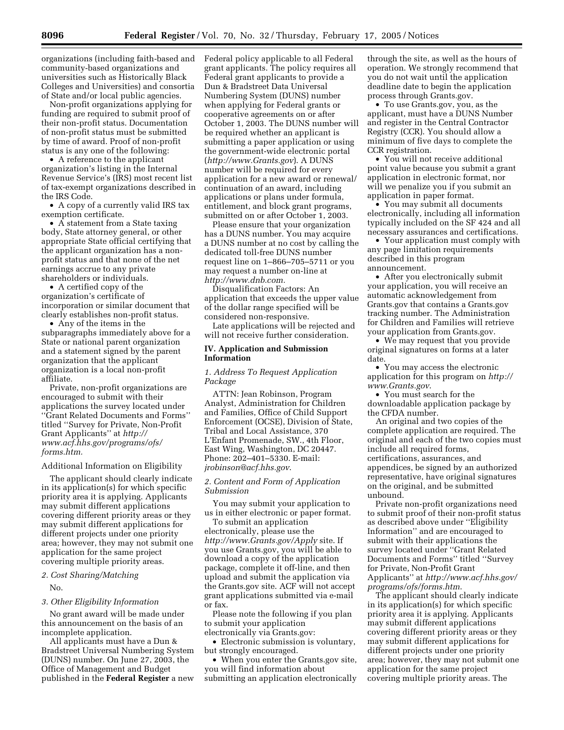organizations (including faith-based and community-based organizations and universities such as Historically Black Colleges and Universities) and consortia of State and/or local public agencies.

Non-profit organizations applying for funding are required to submit proof of their non-profit status. Documentation of non-profit status must be submitted by time of award. Proof of non-profit status is any one of the following:

• A reference to the applicant organization's listing in the Internal Revenue Service's (IRS) most recent list of tax-exempt organizations described in the IRS Code.

• A copy of a currently valid IRS tax exemption certificate.

• A statement from a State taxing body, State attorney general, or other appropriate State official certifying that the applicant organization has a nonprofit status and that none of the net earnings accrue to any private shareholders or individuals.

• A certified copy of the organization's certificate of incorporation or similar document that clearly establishes non-profit status.

• Any of the items in the subparagraphs immediately above for a State or national parent organization and a statement signed by the parent organization that the applicant organization is a local non-profit affiliate.

Private, non-profit organizations are encouraged to submit with their applications the survey located under ''Grant Related Documents and Forms'' titled ''Survey for Private, Non-Profit Grant Applicants'' at *http:// www.acf.hhs.gov/programs/ofs/ forms.htm.*

Additional Information on Eligibility

The applicant should clearly indicate in its application(s) for which specific priority area it is applying. Applicants may submit different applications covering different priority areas or they may submit different applications for different projects under one priority area; however, they may not submit one application for the same project covering multiple priority areas.

# *2. Cost Sharing/Matching*

No.

# *3. Other Eligibility Information*

No grant award will be made under this announcement on the basis of an incomplete application.

All applicants must have a Dun & Bradstreet Universal Numbering System (DUNS) number. On June 27, 2003, the Office of Management and Budget published in the **Federal Register** a new

Federal policy applicable to all Federal grant applicants. The policy requires all Federal grant applicants to provide a Dun & Bradstreet Data Universal Numbering System (DUNS) number when applying for Federal grants or cooperative agreements on or after October 1, 2003. The DUNS number will be required whether an applicant is submitting a paper application or using the government-wide electronic portal (*http://www.Grants.gov*). A DUNS number will be required for every application for a new award or renewal/ continuation of an award, including applications or plans under formula, entitlement, and block grant programs, submitted on or after October 1, 2003.

Please ensure that your organization has a DUNS number. You may acquire a DUNS number at no cost by calling the dedicated toll-free DUNS number request line on 1–866–705–5711 or you may request a number on-line at *http://www.dnb.com.*

Disqualification Factors: An application that exceeds the upper value of the dollar range specified will be considered non-responsive.

Late applications will be rejected and will not receive further consideration.

# **IV. Application and Submission Information**

*1. Address To Request Application Package* 

ATTN: Jean Robinson, Program Analyst, Administration for Children and Families, Office of Child Support Enforcement (OCSE), Division of State, Tribal and Local Assistance, 370 L'Enfant Promenade, SW., 4th Floor, East Wing, Washington, DC 20447. Phone: 202–401–5330. E-mail: *jrobinson@acf.hhs.gov*.

## *2. Content and Form of Application Submission*

You may submit your application to us in either electronic or paper format.

To submit an application electronically, please use the *http://www.Grants.gov/Apply* site. If you use Grants.gov, you will be able to download a copy of the application package, complete it off-line, and then upload and submit the application via the Grants.gov site. ACF will not accept grant applications submitted via e-mail or fax.

Please note the following if you plan to submit your application electronically via Grants.gov:

• Electronic submission is voluntary, but strongly encouraged.

• When you enter the Grants.gov site, you will find information about submitting an application electronically

through the site, as well as the hours of operation. We strongly recommend that you do not wait until the application deadline date to begin the application process through Grants.gov.

• To use Grants.gov, you, as the applicant, must have a DUNS Number and register in the Central Contractor Registry (CCR). You should allow a minimum of five days to complete the CCR registration.

• You will not receive additional point value because you submit a grant application in electronic format, nor will we penalize you if you submit an application in paper format.

• You may submit all documents electronically, including all information typically included on the SF 424 and all necessary assurances and certifications.

• Your application must comply with any page limitation requirements described in this program announcement.

• After you electronically submit your application, you will receive an automatic acknowledgement from Grants.gov that contains a Grants.gov tracking number. The Administration for Children and Families will retrieve your application from Grants.gov.

• We may request that you provide original signatures on forms at a later date.

• You may access the electronic application for this program on *http:// www.Grants.gov*.

• You must search for the downloadable application package by the CFDA number.

An original and two copies of the complete application are required. The original and each of the two copies must include all required forms, certifications, assurances, and appendices, be signed by an authorized representative, have original signatures on the original, and be submitted unbound.

Private non-profit organizations need to submit proof of their non-profit status as described above under ''Eligibility Information'' and are encouraged to submit with their applications the survey located under ''Grant Related Documents and Forms'' titled ''Survey for Private, Non-Profit Grant Applicants'' at *http://www.acf.hhs.gov/ programs/ofs/forms.htm*.

The applicant should clearly indicate in its application(s) for which specific priority area it is applying. Applicants may submit different applications covering different priority areas or they may submit different applications for different projects under one priority area; however, they may not submit one application for the same project covering multiple priority areas. The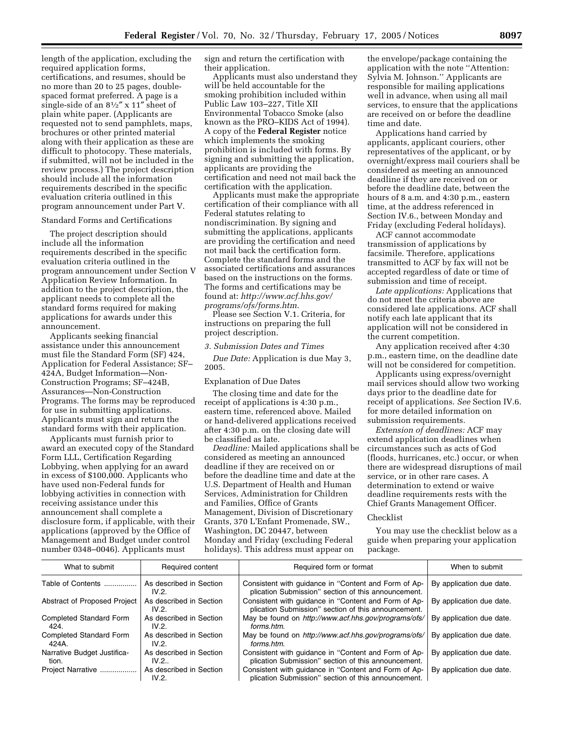length of the application, excluding the required application forms, certifications, and resumes, should be no more than 20 to 25 pages, doublespaced format preferred. A page is a single-side of an 81⁄2″ x 11″ sheet of plain white paper. (Applicants are requested not to send pamphlets, maps, brochures or other printed material along with their application as these are difficult to photocopy. These materials, if submitted, will not be included in the review process.) The project description should include all the information requirements described in the specific evaluation criteria outlined in this program announcement under Part V.

#### Standard Forms and Certifications

The project description should include all the information requirements described in the specific evaluation criteria outlined in the program announcement under Section V Application Review Information. In addition to the project description, the applicant needs to complete all the standard forms required for making applications for awards under this announcement.

Applicants seeking financial assistance under this announcement must file the Standard Form (SF) 424, Application for Federal Assistance; SF– 424A, Budget Information—Non-Construction Programs; SF–424B, Assurances—Non-Construction Programs. The forms may be reproduced for use in submitting applications. Applicants must sign and return the standard forms with their application.

Applicants must furnish prior to award an executed copy of the Standard Form LLL, Certification Regarding Lobbying, when applying for an award in excess of \$100,000. Applicants who have used non-Federal funds for lobbying activities in connection with receiving assistance under this announcement shall complete a disclosure form, if applicable, with their applications (approved by the Office of Management and Budget under control number 0348–0046). Applicants must

sign and return the certification with their application.

Applicants must also understand they will be held accountable for the smoking prohibition included within Public Law 103–227, Title XII Environmental Tobacco Smoke (also known as the PRO–KIDS Act of 1994). A copy of the **Federal Register** notice which implements the smoking prohibition is included with forms. By signing and submitting the application, applicants are providing the certification and need not mail back the certification with the application.

Applicants must make the appropriate certification of their compliance with all Federal statutes relating to nondiscrimination. By signing and submitting the applications, applicants are providing the certification and need not mail back the certification form. Complete the standard forms and the associated certifications and assurances based on the instructions on the forms. The forms and certifications may be found at: *http://www.acf.hhs.gov/ programs/ofs/forms.htm*.

Please see Section V.1. Criteria, for instructions on preparing the full project description.

#### *3. Submission Dates and Times*

*Due Date:* Application is due May 3, 2005.

#### Explanation of Due Dates

The closing time and date for the receipt of applications is 4:30 p.m., eastern time, referenced above. Mailed or hand-delivered applications received after 4:30 p.m. on the closing date will be classified as late.

*Deadline:* Mailed applications shall be considered as meeting an announced deadline if they are received on or before the deadline time and date at the U.S. Department of Health and Human Services, Administration for Children and Families, Office of Grants Management, Division of Discretionary Grants, 370 L'Enfant Promenade, SW., Washington, DC 20447, between Monday and Friday (excluding Federal holidays). This address must appear on

the envelope/package containing the application with the note ''Attention: Sylvia M. Johnson.'' Applicants are responsible for mailing applications well in advance, when using all mail services, to ensure that the applications are received on or before the deadline time and date.

Applications hand carried by applicants, applicant couriers, other representatives of the applicant, or by overnight/express mail couriers shall be considered as meeting an announced deadline if they are received on or before the deadline date, between the hours of 8 a.m. and 4:30 p.m., eastern time, at the address referenced in Section IV.6., between Monday and Friday (excluding Federal holidays).

ACF cannot accommodate transmission of applications by facsimile. Therefore, applications transmitted to ACF by fax will not be accepted regardless of date or time of submission and time of receipt.

*Late applications:* Applications that do not meet the criteria above are considered late applications. ACF shall notify each late applicant that its application will not be considered in the current competition.

Any application received after 4:30 p.m., eastern time, on the deadline date will not be considered for competition.

Applicants using express/overnight mail services should allow two working days prior to the deadline date for receipt of applications. *See* Section IV.6. for more detailed information on submission requirements.

*Extension of deadlines:* ACF may extend application deadlines when circumstances such as acts of God (floods, hurricanes, etc.) occur, or when there are widespread disruptions of mail service, or in other rare cases. A determination to extend or waive deadline requirements rests with the Chief Grants Management Officer.

## Checklist

You may use the checklist below as a guide when preparing your application package.

| What to submit                          | Required content                 | Required form or format                                                                                     | When to submit           |
|-----------------------------------------|----------------------------------|-------------------------------------------------------------------------------------------------------------|--------------------------|
| Table of Contents                       | As described in Section<br>IV.2. | Consistent with quidance in "Content and Form of Ap-<br>plication Submission" section of this announcement. | By application due date. |
| Abstract of Proposed Project            | As described in Section<br>IV.2. | Consistent with quidance in "Content and Form of Ap-<br>plication Submission" section of this announcement. | By application due date. |
| <b>Completed Standard Form</b><br>424.  | As described in Section<br>IV.2. | May be found on http://www.acf.hhs.gov/programs/ofs/<br>forms.htm.                                          | By application due date. |
| <b>Completed Standard Form</b><br>424A. | As described in Section<br>IV.2. | May be found on http://www.acf.hhs.gov/programs/ofs/<br>forms.htm.                                          | By application due date. |
| Narrative Budget Justifica-<br>tion.    | As described in Section<br>IV.2  | Consistent with quidance in "Content and Form of Ap-<br>plication Submission" section of this announcement. | By application due date. |
| Project Narrative                       | As described in Section<br>IV.2. | Consistent with quidance in "Content and Form of Ap-<br>plication Submission" section of this announcement. | By application due date. |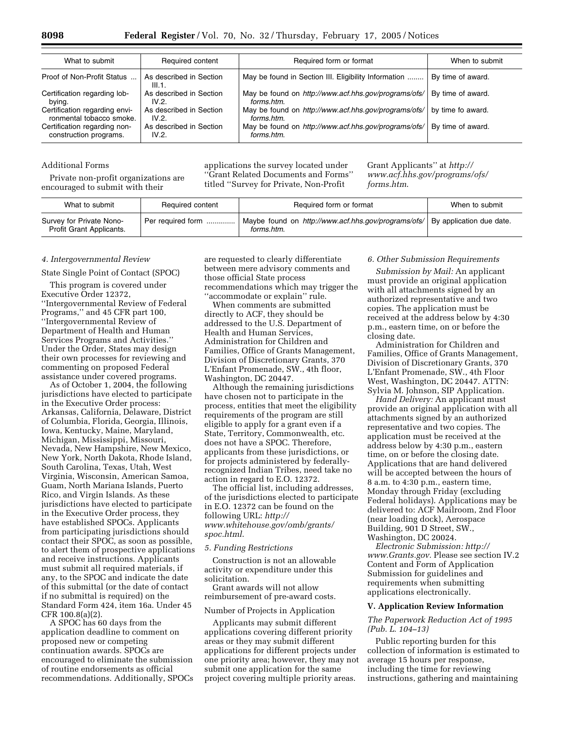| What to submit                | Required content                  | Required form or format                                                  | When to submit    |
|-------------------------------|-----------------------------------|--------------------------------------------------------------------------|-------------------|
| Proof of Non-Profit Status    | As described in Section<br>III.1. | May be found in Section III. Eligibility Information                     | By time of award. |
| Certification regarding lob-  | As described in Section           | May be found on http://www.acf.hhs.gov/programs/ofs/                     | By time of award. |
| bying.                        | IV.2.                             | forms.htm.                                                               |                   |
| Certification regarding envi- | As described in Section           | May be found on http://www.acf.hhs.gov/programs/ofs/   by time fo award. |                   |
| ronmental tobacco smoke.      | IV.2.                             | forms.htm.                                                               |                   |
| Certification regarding non-  | As described in Section           | May be found on http://www.acf.hhs.gov/programs/ofs/                     | By time of award. |
| construction programs.        | IV.2.                             | forms.htm.                                                               |                   |

## Additional Forms

Private non-profit organizations are encouraged to submit with their

applications the survey located under ''Grant Related Documents and Forms'' titled ''Survey for Private, Non-Profit

Grant Applicants'' at *http:// www.acf.hhs.gov/programs/ofs/ forms.htm*.

| What to submit                                       | Required content  | Required form or format                                           | When to submit                        |
|------------------------------------------------------|-------------------|-------------------------------------------------------------------|---------------------------------------|
| Survey for Private Nono-<br>Profit Grant Applicants. | Per required form | Maybe found on http://www.acf.hhs.gov/programs/ofs/<br>forms.htm. | <sup>1</sup> By application due date. |

## *4. Intergovernmental Review*

## State Single Point of Contact (SPOC)

This program is covered under Executive Order 12372, ''Intergovernmental Review of Federal Programs,'' and 45 CFR part 100, ''Intergovernmental Review of Department of Health and Human Services Programs and Activities.'' Under the Order, States may design their own processes for reviewing and commenting on proposed Federal assistance under covered programs.

As of October 1, 2004, the following jurisdictions have elected to participate in the Executive Order process: Arkansas, California, Delaware, District of Columbia, Florida, Georgia, Illinois, Iowa, Kentucky, Maine, Maryland, Michigan, Mississippi, Missouri, Nevada, New Hampshire, New Mexico, New York, North Dakota, Rhode Island, South Carolina, Texas, Utah, West Virginia, Wisconsin, American Samoa, Guam, North Mariana Islands, Puerto Rico, and Virgin Islands. As these jurisdictions have elected to participate in the Executive Order process, they have established SPOCs. Applicants from participating jurisdictions should contact their SPOC, as soon as possible, to alert them of prospective applications and receive instructions. Applicants must submit all required materials, if any, to the SPOC and indicate the date of this submittal (or the date of contact if no submittal is required) on the Standard Form 424, item 16a. Under 45 CFR 100.8(a)(2).

A SPOC has 60 days from the application deadline to comment on proposed new or competing continuation awards. SPOCs are encouraged to eliminate the submission of routine endorsements as official recommendations. Additionally, SPOCs

are requested to clearly differentiate between mere advisory comments and those official State process recommendations which may trigger the 'accommodate or explain'' rule.

When comments are submitted directly to ACF, they should be addressed to the U.S. Department of Health and Human Services, Administration for Children and Families, Office of Grants Management, Division of Discretionary Grants, 370 L'Enfant Promenade, SW., 4th floor, Washington, DC 20447.

Although the remaining jurisdictions have chosen not to participate in the process, entities that meet the eligibility requirements of the program are still eligible to apply for a grant even if a State, Territory, Commonwealth, etc. does not have a SPOC. Therefore, applicants from these jurisdictions, or for projects administered by federallyrecognized Indian Tribes, need take no action in regard to E.O. 12372.

The official list, including addresses, of the jurisdictions elected to participate in E.O. 12372 can be found on the following URL: *http:// www.whitehouse.gov/omb/grants/ spoc.html*.

### *5. Funding Restrictions*

Construction is not an allowable activity or expenditure under this solicitation.

Grant awards will not allow reimbursement of pre-award costs.

#### Number of Projects in Application

Applicants may submit different applications covering different priority areas or they may submit different applications for different projects under one priority area; however, they may not submit one application for the same project covering multiple priority areas.

## *6. Other Submission Requirements*

*Submission by Mail:* An applicant must provide an original application with all attachments signed by an authorized representative and two copies. The application must be received at the address below by 4:30 p.m., eastern time, on or before the closing date.

Administration for Children and Families, Office of Grants Management, Division of Discretionary Grants, 370 L'Enfant Promenade, SW., 4th Floor West, Washington, DC 20447. ATTN: Sylvia M. Johnson, SIP Application.

*Hand Delivery:* An applicant must provide an original application with all attachments signed by an authorized representative and two copies. The application must be received at the address below by 4:30 p.m., eastern time, on or before the closing date. Applications that are hand delivered will be accepted between the hours of 8 a.m. to 4:30 p.m., eastern time, Monday through Friday (excluding Federal holidays). Applications may be delivered to: ACF Mailroom, 2nd Floor (near loading dock), Aerospace Building, 901 D Street, SW., Washington, DC 20024.

*Electronic Submission: http:// www.Grants.gov.* Please see section IV.2 Content and Form of Application Submission for guidelines and requirements when submitting applications electronically.

## **V. Application Review Information**

*The Paperwork Reduction Act of 1995 (Pub. L. 104–13)* 

Public reporting burden for this collection of information is estimated to average 15 hours per response, including the time for reviewing instructions, gathering and maintaining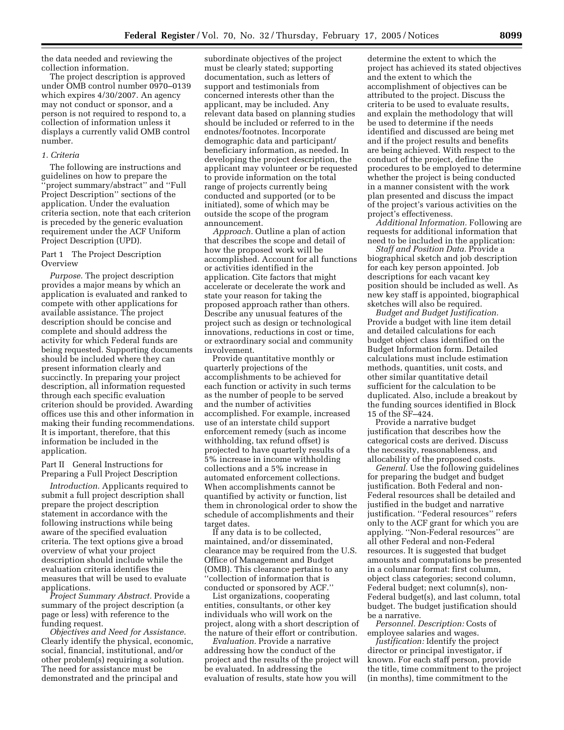the data needed and reviewing the collection information.

The project description is approved under OMB control number 0970–0139 which expires 4/30/2007. An agency may not conduct or sponsor, and a person is not required to respond to, a collection of information unless it displays a currently valid OMB control number.

## *1. Criteria*

The following are instructions and guidelines on how to prepare the 'project summary/abstract" and "Full Project Description'' sections of the application. Under the evaluation criteria section, note that each criterion is preceded by the generic evaluation requirement under the ACF Uniform Project Description (UPD).

## Part 1 The Project Description **Overview**

*Purpose.* The project description provides a major means by which an application is evaluated and ranked to compete with other applications for available assistance. The project description should be concise and complete and should address the activity for which Federal funds are being requested. Supporting documents should be included where they can present information clearly and succinctly. In preparing your project description, all information requested through each specific evaluation criterion should be provided. Awarding offices use this and other information in making their funding recommendations. It is important, therefore, that this information be included in the application.

Part II General Instructions for Preparing a Full Project Description

*Introduction.* Applicants required to submit a full project description shall prepare the project description statement in accordance with the following instructions while being aware of the specified evaluation criteria. The text options give a broad overview of what your project description should include while the evaluation criteria identifies the measures that will be used to evaluate applications.

*Project Summary Abstract.* Provide a summary of the project description (a page or less) with reference to the funding request.

*Objectives and Need for Assistance.* Clearly identify the physical, economic, social, financial, institutional, and/or other problem(s) requiring a solution. The need for assistance must be demonstrated and the principal and

subordinate objectives of the project must be clearly stated; supporting documentation, such as letters of support and testimonials from concerned interests other than the applicant, may be included. Any relevant data based on planning studies should be included or referred to in the endnotes/footnotes. Incorporate demographic data and participant/ beneficiary information, as needed. In developing the project description, the applicant may volunteer or be requested to provide information on the total range of projects currently being conducted and supported (or to be initiated), some of which may be outside the scope of the program announcement.

*Approach.* Outline a plan of action that describes the scope and detail of how the proposed work will be accomplished. Account for all functions or activities identified in the application. Cite factors that might accelerate or decelerate the work and state your reason for taking the proposed approach rather than others. Describe any unusual features of the project such as design or technological innovations, reductions in cost or time, or extraordinary social and community involvement.

Provide quantitative monthly or quarterly projections of the accomplishments to be achieved for each function or activity in such terms as the number of people to be served and the number of activities accomplished. For example, increased use of an interstate child support enforcement remedy (such as income withholding, tax refund offset) is projected to have quarterly results of a 5% increase in income withholding collections and a 5% increase in automated enforcement collections. When accomplishments cannot be quantified by activity or function, list them in chronological order to show the schedule of accomplishments and their target dates.

If any data is to be collected, maintained, and/or disseminated, clearance may be required from the U.S. Office of Management and Budget (OMB). This clearance pertains to any ''collection of information that is conducted or sponsored by ACF.''

List organizations, cooperating entities, consultants, or other key individuals who will work on the project, along with a short description of the nature of their effort or contribution.

*Evaluation.* Provide a narrative addressing how the conduct of the project and the results of the project will be evaluated. In addressing the evaluation of results, state how you will

determine the extent to which the project has achieved its stated objectives and the extent to which the accomplishment of objectives can be attributed to the project. Discuss the criteria to be used to evaluate results, and explain the methodology that will be used to determine if the needs identified and discussed are being met and if the project results and benefits are being achieved. With respect to the conduct of the project, define the procedures to be employed to determine whether the project is being conducted in a manner consistent with the work plan presented and discuss the impact of the project's various activities on the project's effectiveness.

*Additional Information.* Following are requests for additional information that need to be included in the application:

*Staff and Position Data.* Provide a biographical sketch and job description for each key person appointed. Job descriptions for each vacant key position should be included as well. As new key staff is appointed, biographical sketches will also be required.

*Budget and Budget Justification.* Provide a budget with line item detail and detailed calculations for each budget object class identified on the Budget Information form. Detailed calculations must include estimation methods, quantities, unit costs, and other similar quantitative detail sufficient for the calculation to be duplicated. Also, include a breakout by the funding sources identified in Block 15 of the SF–424.

Provide a narrative budget justification that describes how the categorical costs are derived. Discuss the necessity, reasonableness, and allocability of the proposed costs.

*General.* Use the following guidelines for preparing the budget and budget justification. Both Federal and non-Federal resources shall be detailed and justified in the budget and narrative justification. ''Federal resources'' refers only to the ACF grant for which you are applying. ''Non-Federal resources'' are all other Federal and non-Federal resources. It is suggested that budget amounts and computations be presented in a columnar format: first column, object class categories; second column, Federal budget; next column(s), non-Federal budget(s), and last column, total budget. The budget justification should be a narrative.

*Personnel. Description:* Costs of employee salaries and wages.

*Justification:* Identify the project director or principal investigator, if known. For each staff person, provide the title, time commitment to the project (in months), time commitment to the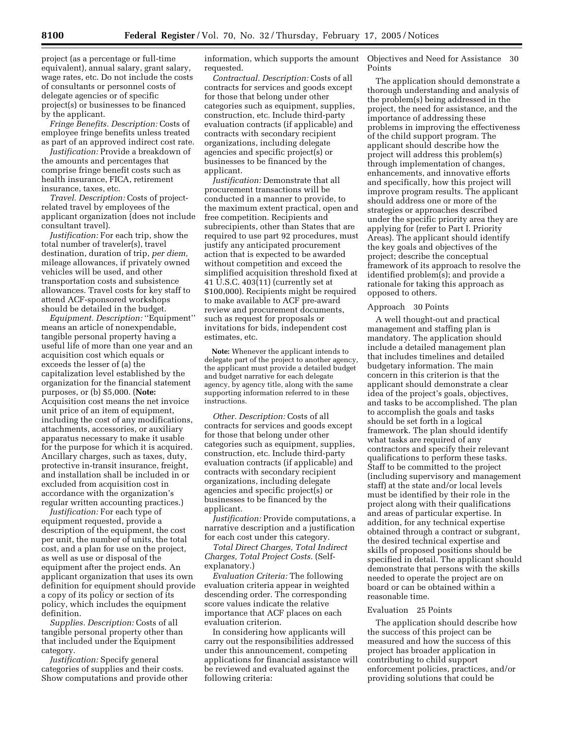project (as a percentage or full-time equivalent), annual salary, grant salary, wage rates, etc. Do not include the costs of consultants or personnel costs of delegate agencies or of specific project(s) or businesses to be financed by the applicant.

*Fringe Benefits. Description:* Costs of employee fringe benefits unless treated as part of an approved indirect cost rate.

*Justification:* Provide a breakdown of the amounts and percentages that comprise fringe benefit costs such as health insurance, FICA, retirement insurance, taxes, etc.

*Travel. Description:* Costs of projectrelated travel by employees of the applicant organization (does not include consultant travel).

*Justification:* For each trip, show the total number of traveler(s), travel destination, duration of trip, *per diem,* mileage allowances, if privately owned vehicles will be used, and other transportation costs and subsistence allowances. Travel costs for key staff to attend ACF-sponsored workshops should be detailed in the budget.

*Equipment. Description:* ''Equipment'' means an article of nonexpendable, tangible personal property having a useful life of more than one year and an acquisition cost which equals or exceeds the lesser of (a) the capitalization level established by the organization for the financial statement purposes, or (b) \$5,000. (**Note:** Acquisition cost means the net invoice unit price of an item of equipment, including the cost of any modifications, attachments, accessories, or auxiliary apparatus necessary to make it usable for the purpose for which it is acquired. Ancillary charges, such as taxes, duty, protective in-transit insurance, freight, and installation shall be included in or excluded from acquisition cost in accordance with the organization's regular written accounting practices.)

*Justification:* For each type of equipment requested, provide a description of the equipment, the cost per unit, the number of units, the total cost, and a plan for use on the project, as well as use or disposal of the equipment after the project ends. An applicant organization that uses its own definition for equipment should provide a copy of its policy or section of its policy, which includes the equipment definition.

*Supplies. Description:* Costs of all tangible personal property other than that included under the Equipment category.

*Justification:* Specify general categories of supplies and their costs. Show computations and provide other

information, which supports the amount Objectives and Need for Assistance 30 requested.

*Contractual. Description:* Costs of all contracts for services and goods except for those that belong under other categories such as equipment, supplies, construction, etc. Include third-party evaluation contracts (if applicable) and contracts with secondary recipient organizations, including delegate agencies and specific project(s) or businesses to be financed by the applicant.

*Justification:* Demonstrate that all procurement transactions will be conducted in a manner to provide, to the maximum extent practical, open and free competition. Recipients and subrecipients, other than States that are required to use part 92 procedures, must justify any anticipated procurement action that is expected to be awarded without competition and exceed the simplified acquisition threshold fixed at 41 U.S.C. 403(11) (currently set at \$100,000). Recipients might be required to make available to ACF pre-award review and procurement documents, such as request for proposals or invitations for bids, independent cost estimates, etc.

**Note:** Whenever the applicant intends to delegate part of the project to another agency, the applicant must provide a detailed budget and budget narrative for each delegate agency, by agency title, along with the same supporting information referred to in these instructions.

*Other. Description:* Costs of all contracts for services and goods except for those that belong under other categories such as equipment, supplies, construction, etc. Include third-party evaluation contracts (if applicable) and contracts with secondary recipient organizations, including delegate agencies and specific project(s) or businesses to be financed by the applicant.

*Justification:* Provide computations, a narrative description and a justification for each cost under this category.

*Total Direct Charges, Total Indirect Charges, Total Project Costs.* (Selfexplanatory.)

*Evaluation Criteria:* The following evaluation criteria appear in weighted descending order. The corresponding score values indicate the relative importance that ACF places on each evaluation criterion.

In considering how applicants will carry out the responsibilities addressed under this announcement, competing applications for financial assistance will be reviewed and evaluated against the following criteria:

Points

The application should demonstrate a thorough understanding and analysis of the problem(s) being addressed in the project, the need for assistance, and the importance of addressing these problems in improving the effectiveness of the child support program. The applicant should describe how the project will address this problem(s) through implementation of changes, enhancements, and innovative efforts and specifically, how this project will improve program results. The applicant should address one or more of the strategies or approaches described under the specific priority area they are applying for (refer to Part I. Priority Areas). The applicant should identify the key goals and objectives of the project; describe the conceptual framework of its approach to resolve the identified problem(s); and provide a rationale for taking this approach as opposed to others.

## Approach 30 Points

A well thought-out and practical management and staffing plan is mandatory. The application should include a detailed management plan that includes timelines and detailed budgetary information. The main concern in this criterion is that the applicant should demonstrate a clear idea of the project's goals, objectives, and tasks to be accomplished. The plan to accomplish the goals and tasks should be set forth in a logical framework. The plan should identify what tasks are required of any contractors and specify their relevant qualifications to perform these tasks. Staff to be committed to the project (including supervisory and management staff) at the state and/or local levels must be identified by their role in the project along with their qualifications and areas of particular expertise. In addition, for any technical expertise obtained through a contract or subgrant, the desired technical expertise and skills of proposed positions should be specified in detail. The applicant should demonstrate that persons with the skills needed to operate the project are on board or can be obtained within a reasonable time.

## Evaluation 25 Points

The application should describe how the success of this project can be measured and how the success of this project has broader application in contributing to child support enforcement policies, practices, and/or providing solutions that could be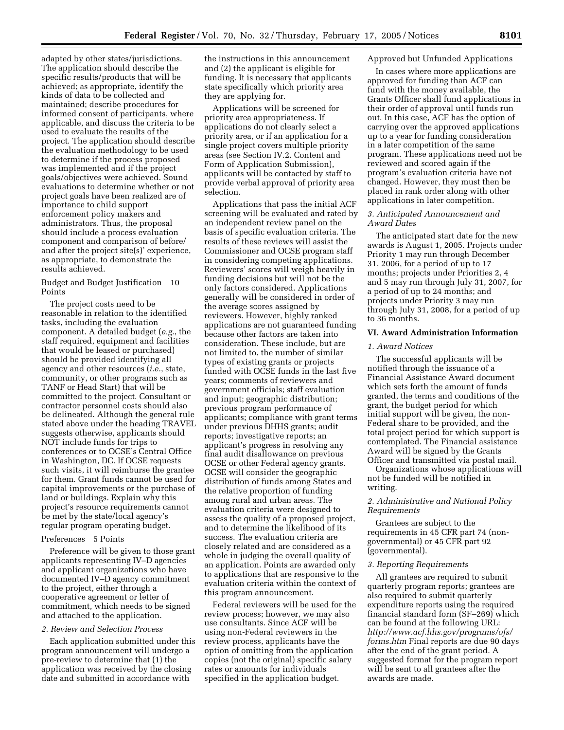adapted by other states/jurisdictions. The application should describe the specific results/products that will be achieved; as appropriate, identify the kinds of data to be collected and maintained; describe procedures for informed consent of participants, where applicable, and discuss the criteria to be used to evaluate the results of the project. The application should describe the evaluation methodology to be used to determine if the process proposed was implemented and if the project goals/objectives were achieved. Sound evaluations to determine whether or not project goals have been realized are of importance to child support enforcement policy makers and administrators. Thus, the proposal should include a process evaluation component and comparison of before/ and after the project site(s)' experience, as appropriate, to demonstrate the results achieved.

Budget and Budget Justification 10 Points

The project costs need to be reasonable in relation to the identified tasks, including the evaluation component. A detailed budget (*e.g.*, the staff required, equipment and facilities that would be leased or purchased) should be provided identifying all agency and other resources (*i.e.*, state, community, or other programs such as TANF or Head Start) that will be committed to the project. Consultant or contractor personnel costs should also be delineated. Although the general rule stated above under the heading TRAVEL suggests otherwise, applicants should NOT include funds for trips to conferences or to OCSE's Central Office in Washington, DC. If OCSE requests such visits, it will reimburse the grantee for them. Grant funds cannot be used for capital improvements or the purchase of land or buildings. Explain why this project's resource requirements cannot be met by the state/local agency's regular program operating budget.

#### Preferences 5 Points

Preference will be given to those grant applicants representing IV–D agencies and applicant organizations who have documented IV–D agency commitment to the project, either through a cooperative agreement or letter of commitment, which needs to be signed and attached to the application.

#### *2. Review and Selection Process*

Each application submitted under this program announcement will undergo a pre-review to determine that (1) the application was received by the closing date and submitted in accordance with

the instructions in this announcement and (2) the applicant is eligible for funding. It is necessary that applicants state specifically which priority area they are applying for.

Applications will be screened for priority area appropriateness. If applications do not clearly select a priority area, or if an application for a single project covers multiple priority areas (see Section IV.2. Content and Form of Application Submission), applicants will be contacted by staff to provide verbal approval of priority area selection.

Applications that pass the initial ACF screening will be evaluated and rated by an independent review panel on the basis of specific evaluation criteria. The results of these reviews will assist the Commissioner and OCSE program staff in considering competing applications. Reviewers' scores will weigh heavily in funding decisions but will not be the only factors considered. Applications generally will be considered in order of the average scores assigned by reviewers. However, highly ranked applications are not guaranteed funding because other factors are taken into consideration. These include, but are not limited to, the number of similar types of existing grants or projects funded with OCSE funds in the last five years; comments of reviewers and government officials; staff evaluation and input; geographic distribution; previous program performance of applicants; compliance with grant terms under previous DHHS grants; audit reports; investigative reports; an applicant's progress in resolving any final audit disallowance on previous OCSE or other Federal agency grants. OCSE will consider the geographic distribution of funds among States and the relative proportion of funding among rural and urban areas. The evaluation criteria were designed to assess the quality of a proposed project, and to determine the likelihood of its success. The evaluation criteria are closely related and are considered as a whole in judging the overall quality of an application. Points are awarded only to applications that are responsive to the evaluation criteria within the context of this program announcement.

Federal reviewers will be used for the review process; however, we may also use consultants. Since ACF will be using non-Federal reviewers in the review process, applicants have the option of omitting from the application copies (not the original) specific salary rates or amounts for individuals specified in the application budget.

# Approved but Unfunded Applications

In cases where more applications are approved for funding than ACF can fund with the money available, the Grants Officer shall fund applications in their order of approval until funds run out. In this case, ACF has the option of carrying over the approved applications up to a year for funding consideration in a later competition of the same program. These applications need not be reviewed and scored again if the program's evaluation criteria have not changed. However, they must then be placed in rank order along with other applications in later competition.

## *3. Anticipated Announcement and Award Dates*

The anticipated start date for the new awards is August 1, 2005. Projects under Priority 1 may run through December 31, 2006, for a period of up to 17 months; projects under Priorities 2, 4 and 5 may run through July 31, 2007, for a period of up to 24 months; and projects under Priority 3 may run through July 31, 2008, for a period of up to 36 months.

## **VI. Award Administration Information**

#### *1. Award Notices*

The successful applicants will be notified through the issuance of a Financial Assistance Award document which sets forth the amount of funds granted, the terms and conditions of the grant, the budget period for which initial support will be given, the non-Federal share to be provided, and the total project period for which support is contemplated. The Financial assistance Award will be signed by the Grants Officer and transmitted via postal mail.

Organizations whose applications will not be funded will be notified in writing.

# *2. Administrative and National Policy Requirements*

Grantees are subject to the requirements in 45 CFR part 74 (nongovernmental) or 45 CFR part 92 (governmental).

#### *3. Reporting Requirements*

All grantees are required to submit quarterly program reports; grantees are also required to submit quarterly expenditure reports using the required financial standard form (SF–269) which can be found at the following URL: *http://www.acf.hhs.gov/programs/ofs/ forms.htm* Final reports are due 90 days after the end of the grant period. A suggested format for the program report will be sent to all grantees after the awards are made.